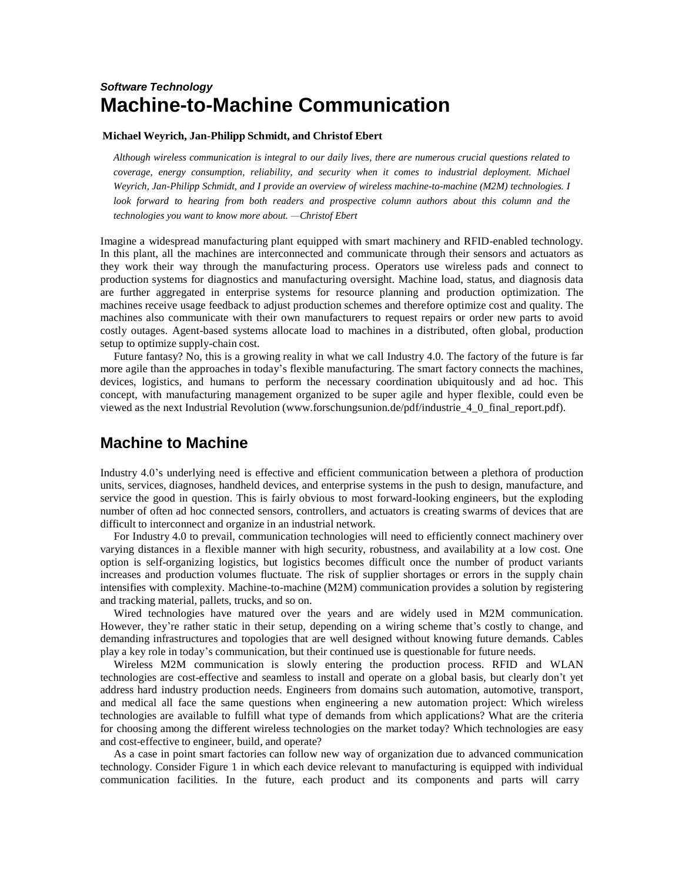# *Software Technology* **Machine-to-Machine Communication**

#### **Michael Weyrich, Jan-Philipp Schmidt, and Christof Ebert**

*Although wireless communication is integral to our daily lives, there are numerous crucial questions related to coverage, energy consumption, reliability, and security when it comes to industrial deployment. Michael Weyrich, Jan-Philipp Schmidt, and I provide an overview of wireless machine-to-machine (M2M) technologies. I look forward to hearing from both readers and prospective column authors about this column and the technologies you want to know more about. —Christof Ebert*

Imagine a widespread manufacturing plant equipped with smart machinery and RFID-enabled technology. In this plant, all the machines are interconnected and communicate through their sensors and actuators as they work their way through the manufacturing process. Operators use wireless pads and connect to production systems for diagnostics and manufacturing oversight. Machine load, status, and diagnosis data are further aggregated in enterprise systems for resource planning and production optimization. The machines receive usage feedback to adjust production schemes and therefore optimize cost and quality. The machines also communicate with their own manufacturers to request repairs or order new parts to avoid costly outages. Agent-based systems allocate load to machines in a distributed, often global, production setup to optimize supply-chain cost.

Future fantasy? No, this is a growing reality in what we call Industry 4.0. The factory of the future is far more agile than the approaches in today's flexible manufacturing. The smart factory connects the machines, devices, logistics, and humans to perform the necessary coordination ubiquitously and ad hoc. This concept, with manufacturing management organized to be super agile and hyper flexible, could even be viewed as the next Industrial Revolution [\(www.forschungsunion.de/pdf/industrie\\_4\\_0\\_final\\_report.pdf\)](http://www.forschungsunion.de/pdf/industrie_4_0_final_report.pdf).

## **Machine to Machine**

Industry 4.0's underlying need is effective and efficient communication between a plethora of production units, services, diagnoses, handheld devices, and enterprise systems in the push to design, manufacture, and service the good in question. This is fairly obvious to most forward-looking engineers, but the exploding number of often ad hoc connected sensors, controllers, and actuators is creating swarms of devices that are difficult to interconnect and organize in an industrial network.

For Industry 4.0 to prevail, communication technologies will need to efficiently connect machinery over varying distances in a flexible manner with high security, robustness, and availability at a low cost. One option is self-organizing logistics, but logistics becomes difficult once the number of product variants increases and production volumes fluctuate. The risk of supplier shortages or errors in the supply chain intensifies with complexity. Machine-to-machine (M2M) communication provides a solution by registering and tracking material, pallets, trucks, and so on.

Wired technologies have matured over the years and are widely used in M2M communication. However, they're rather static in their setup, depending on a wiring scheme that's costly to change, and demanding infrastructures and topologies that are well designed without knowing future demands. Cables play a key role in today's communication, but their continued use is questionable for future needs.

Wireless M2M communication is slowly entering the production process. RFID and WLAN technologies are cost-effective and seamless to install and operate on a global basis, but clearly don't yet address hard industry production needs. Engineers from domains such automation, automotive, transport, and medical all face the same questions when engineering a new automation project: Which wireless technologies are available to fulfill what type of demands from which applications? What are the criteria for choosing among the different wireless technologies on the market today? Which technologies are easy and cost-effective to engineer, build, and operate?

As a case in point smart factories can follow new way of organization due to advanced communication technology. Consider Figure 1 in which each device relevant to manufacturing is equipped with individual communication facilities. In the future, each product and its components and parts will carry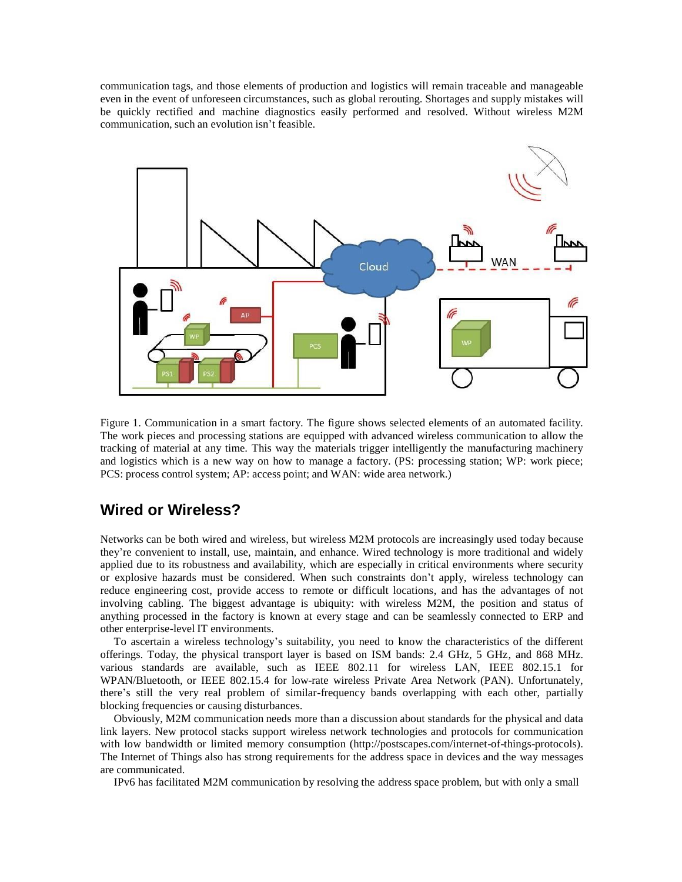communication tags, and those elements of production and logistics will remain traceable and manageable even in the event of unforeseen circumstances, such as global rerouting. Shortages and supply mistakes will be quickly rectified and machine diagnostics easily performed and resolved. Without wireless M2M communication, such an evolution isn't feasible.



Figure 1. Communication in a smart factory. The figure shows selected elements of an automated facility. The work pieces and processing stations are equipped with advanced wireless communication to allow the tracking of material at any time. This way the materials trigger intelligently the manufacturing machinery and logistics which is a new way on how to manage a factory. (PS: processing station; WP: work piece; PCS: process control system; AP: access point; and WAN: wide area network.)

# **Wired or Wireless?**

Networks can be both wired and wireless, but wireless M2M protocols are increasingly used today because they're convenient to install, use, maintain, and enhance. Wired technology is more traditional and widely applied due to its robustness and availability, which are especially in critical environments where security or explosive hazards must be considered. When such constraints don't apply, wireless technology can reduce engineering cost, provide access to remote or difficult locations, and has the advantages of not involving cabling. The biggest advantage is ubiquity: with wireless M2M, the position and status of anything processed in the factory is known at every stage and can be seamlessly connected to ERP and other enterprise-level IT environments.

To ascertain a wireless technology's suitability, you need to know the characteristics of the different offerings. Today, the physical transport layer is based on ISM bands: 2.4 GHz, 5 GHz, and 868 MHz. various standards are available, such as IEEE 802.11 for wireless LAN, IEEE 802.15.1 for WPAN/Bluetooth, or IEEE 802.15.4 for low-rate wireless Private Area Network (PAN). Unfortunately, there's still the very real problem of similar-frequency bands overlapping with each other, partially blocking frequencies or causing disturbances.

Obviously, M2M communication needs more than a discussion about standards for the physical and data link layers. New protocol stacks support wireless network technologies and protocols for communication with low bandwidth or limited memory consumption [\(http://postscapes.com/internet-of-things-protocols](http://postscapes.com/internet-of-things-protocols)). The Internet of Things also has strong requirements for the address space in devices and the way messages are communicated.

IPv6 has facilitated M2M communication by resolving the address space problem, but with only a small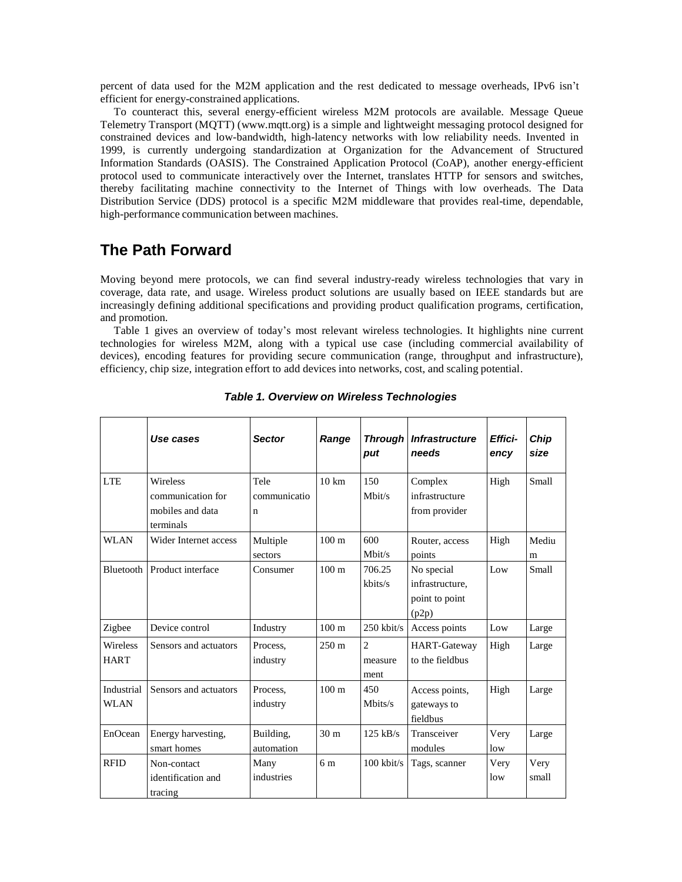percent of data used for the M2M application and the rest dedicated to message overheads, IPv6 isn't efficient for energy-constrained applications.

To counteract this, several energy-efficient wireless M2M protocols are available. Message Queue Telemetry Transport (MQTT) [\(www.mqtt.org\)](http://www.mqtt.org/) is a simple and lightweight messaging protocol designed for constrained devices and low-bandwidth, high-latency networks with low reliability needs. Invented in 1999, is currently undergoing standardization at Organization for the Advancement of Structured Information Standards (OASIS). The Constrained Application Protocol (CoAP), another energy-efficient protocol used to communicate interactively over the Internet, translates HTTP for sensors and switches, thereby facilitating machine connectivity to the Internet of Things with low overheads. The Data Distribution Service (DDS) protocol is a specific M2M middleware that provides real-time, dependable, high-performance communication between machines.

## **The Path Forward**

Moving beyond mere protocols, we can find several industry-ready wireless technologies that vary in coverage, data rate, and usage. Wireless product solutions are usually based on IEEE standards but are increasingly defining additional specifications and providing product qualification programs, certification, and promotion.

Table 1 gives an overview of today's most relevant wireless technologies. It highlights nine current technologies for wireless M2M, along with a typical use case (including commercial availability of devices), encoding features for providing secure communication (range, throughput and infrastructure), efficiency, chip size, integration effort to add devices into networks, cost, and scaling potential.

|                                | Use cases                                                             | <b>Sector</b>             | Range            | <b>Through</b><br>put             | <b>Infrastructure</b><br>needs                           | Effici-<br>ency | Chip<br>size  |
|--------------------------------|-----------------------------------------------------------------------|---------------------------|------------------|-----------------------------------|----------------------------------------------------------|-----------------|---------------|
| <b>LTE</b>                     | <b>Wireless</b><br>communication for<br>mobiles and data<br>terminals | Tele<br>communicatio<br>n | $10 \text{ km}$  | 150<br>Mbit/s                     | Complex<br>infrastructure<br>from provider               | High            | Small         |
| <b>WLAN</b>                    | Wider Internet access                                                 | Multiple<br>sectors       | 100 <sub>m</sub> | 600<br>Mbit/s                     | Router, access<br>points                                 | High            | Mediu<br>m    |
|                                | Bluetooth Product interface                                           | Consumer                  | 100 <sub>m</sub> | 706.25<br>kbits/s                 | No special<br>infrastructure,<br>point to point<br>(p2p) | Low             | Small         |
| Zigbee                         | Device control                                                        | Industry                  | $100 \text{ m}$  | $250$ kbit/s                      | Access points                                            | Low             | Large         |
| <b>Wireless</b><br><b>HART</b> | Sensors and actuators                                                 | Process.<br>industry      | $250 \text{ m}$  | $\overline{2}$<br>measure<br>ment | <b>HART-Gateway</b><br>to the fieldbus                   | High            | Large         |
| Industrial<br><b>WLAN</b>      | Sensors and actuators                                                 | Process.<br>industry      | 100 <sub>m</sub> | 450<br>Mbits/s                    | Access points,<br>gateways to<br>fieldbus                | High            | Large         |
| EnOcean                        | Energy harvesting,<br>smart homes                                     | Building,<br>automation   | 30 <sub>m</sub>  | $125$ kB/s                        | Transceiver<br>modules                                   | Very<br>low     | Large         |
| <b>RFID</b>                    | Non-contact<br>identification and<br>tracing                          | Many<br>industries        | 6 m              | $100$ kbit/s                      | Tags, scanner                                            | Very<br>low     | Very<br>small |

#### *Table 1. Overview on Wireless Technologies*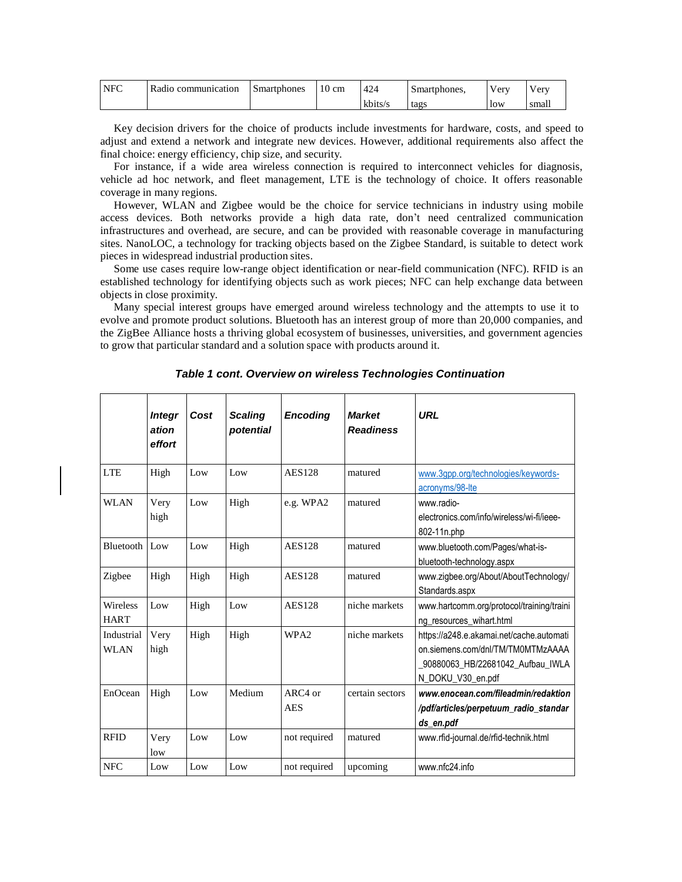| <b>NFC</b> | T.<br>Radio communication | Smartphones | 10 cm | 424     | Smartphones. | v erv | <b>Very</b> |
|------------|---------------------------|-------------|-------|---------|--------------|-------|-------------|
|            |                           |             |       | kbits/s | tags         | low   | ' smalı     |

Key decision drivers for the choice of products include investments for hardware, costs, and speed to adjust and extend a network and integrate new devices. However, additional requirements also affect the final choice: energy efficiency, chip size, and security.

For instance, if a wide area wireless connection is required to interconnect vehicles for diagnosis, vehicle ad hoc network, and fleet management, LTE is the technology of choice. It offers reasonable coverage in many regions.

However, WLAN and Zigbee would be the choice for service technicians in industry using mobile access devices. Both networks provide a high data rate, don't need centralized communication infrastructures and overhead, are secure, and can be provided with reasonable coverage in manufacturing sites. NanoLOC, a technology for tracking objects based on the Zigbee Standard, is suitable to detect work pieces in widespread industrial production sites.

Some use cases require low-range object identification or near-field communication (NFC). RFID is an established technology for identifying objects such as work pieces; NFC can help exchange data between objects in close proximity.

Many special interest groups have emerged around wireless technology and the attempts to use it to evolve and promote product solutions. Bluetooth has an interest group of more than 20,000 companies, and the ZigBee Alliance hosts a thriving global ecosystem of businesses, universities, and government agencies to grow that particular standard and a solution space with products around it.

|                           | <b>Integr</b><br>ation<br>effort | Cost | <b>Scaling</b><br>potential | <b>Encoding</b>       | <b>Market</b><br><b>Readiness</b> | <b>URL</b>                                                                                                                              |
|---------------------------|----------------------------------|------|-----------------------------|-----------------------|-----------------------------------|-----------------------------------------------------------------------------------------------------------------------------------------|
| <b>LTE</b>                | High                             | Low  | Low                         | <b>AES128</b>         | matured                           | www.3gpp.org/technologies/keywords-<br>acronyms/98-Ite                                                                                  |
| <b>WLAN</b>               | Very<br>high                     | Low  | High                        | e.g. WPA2             | matured                           | www.radio-<br>electronics.com/info/wireless/wi-fi/ieee-<br>802-11n.php                                                                  |
| Bluetooth                 | Low                              | Low  | High                        | <b>AES128</b>         | matured                           | www.bluetooth.com/Pages/what-is-<br>bluetooth-technology.aspx                                                                           |
| Zigbee                    | High                             | High | High                        | <b>AES128</b>         | matured                           | www.zigbee.org/About/AboutTechnology/<br>Standards.aspx                                                                                 |
| Wireless<br><b>HART</b>   | Low                              | High | Low                         | <b>AES128</b>         | niche markets                     | www.hartcomm.org/protocol/training/traini<br>ng_resources_wihart.html                                                                   |
| Industrial<br><b>WLAN</b> | Very<br>high                     | High | High                        | WPA <sub>2</sub>      | niche markets                     | https://a248.e.akamai.net/cache.automati<br>on.siemens.com/dnl/TM/TM0MTMzAAAA<br>_90880063_HB/22681042_Aufbau_IWLA<br>N_DOKU_V30_en.pdf |
| EnOcean                   | High                             | Low  | Medium                      | ARC4 or<br><b>AES</b> | certain sectors                   | www.enocean.com/fileadmin/redaktion<br>/pdf/articles/perpetuum_radio_standar<br>ds_en.pdf                                               |
| <b>RFID</b>               | Very<br>low                      | Low  | Low                         | not required          | matured                           | www.rfid-journal.de/rfid-technik.html                                                                                                   |
| <b>NFC</b>                | Low                              | Low  | Low                         | not required          | upcoming                          | www.nfc24.info                                                                                                                          |

*Table 1 cont. Overview on wireless Technologies Continuation*